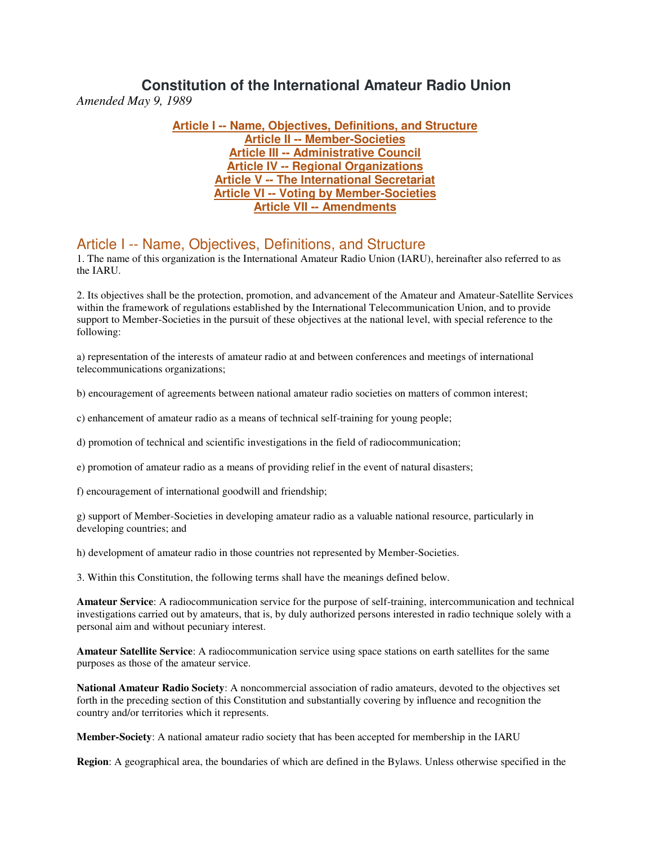## **Constitution of the International Amateur Radio Union** *Amended May 9, 1989*

**[Article I -- Name, Objectives, Definitions, and Structure](http://www.iaru.org/constitution.html#A_ms) [Article II -- Member-Societies](http://www.iaru.org/constitution.html#B_ms) [Article III -- Administrative Council](http://www.iaru.org/constitution.html#C_ms) [Article IV -- Regional Organizations](http://www.iaru.org/constitution.html#D_ms) [Article V -- The International Secretariat](http://www.iaru.org/constitution.html#E_ms) [Article VI -- Voting by Member-Societies](http://www.iaru.org/constitution.html#F_ms) [Article VII -- Amendments](http://www.iaru.org/constitution.html#G_ms)**

## Article I -- Name, Objectives, Definitions, and Structure

1. The name of this organization is the International Amateur Radio Union (IARU), hereinafter also referred to as the IARU.

2. Its objectives shall be the protection, promotion, and advancement of the Amateur and Amateur-Satellite Services within the framework of regulations established by the International Telecommunication Union, and to provide support to Member-Societies in the pursuit of these objectives at the national level, with special reference to the following:

a) representation of the interests of amateur radio at and between conferences and meetings of international telecommunications organizations;

b) encouragement of agreements between national amateur radio societies on matters of common interest;

c) enhancement of amateur radio as a means of technical self-training for young people;

d) promotion of technical and scientific investigations in the field of radiocommunication;

e) promotion of amateur radio as a means of providing relief in the event of natural disasters;

f) encouragement of international goodwill and friendship;

g) support of Member-Societies in developing amateur radio as a valuable national resource, particularly in developing countries; and

h) development of amateur radio in those countries not represented by Member-Societies.

3. Within this Constitution, the following terms shall have the meanings defined below.

**Amateur Service**: A radiocommunication service for the purpose of self-training, intercommunication and technical investigations carried out by amateurs, that is, by duly authorized persons interested in radio technique solely with a personal aim and without pecuniary interest.

**Amateur Satellite Service**: A radiocommunication service using space stations on earth satellites for the same purposes as those of the amateur service.

**National Amateur Radio Society**: A noncommercial association of radio amateurs, devoted to the objectives set forth in the preceding section of this Constitution and substantially covering by influence and recognition the country and/or territories which it represents.

**Member-Society**: A national amateur radio society that has been accepted for membership in the IARU

**Region**: A geographical area, the boundaries of which are defined in the Bylaws. Unless otherwise specified in the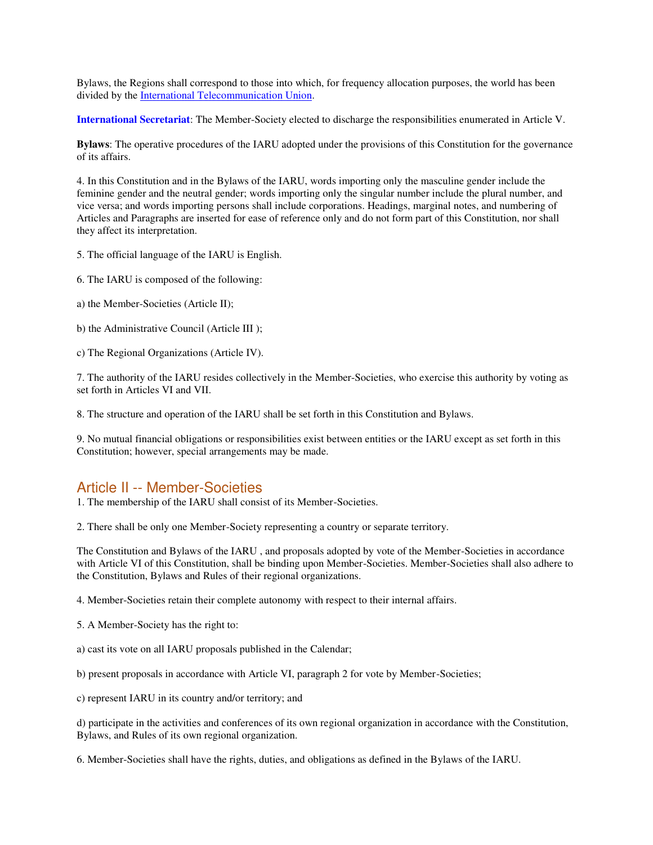Bylaws, the Regions shall correspond to those into which, for frequency allocation purposes, the world has been divided by th[e International Telecommunication Union.](http://www.itu.ch/)

**[International Secretariat](http://www.iaru.org/international-secretariat.html)**: The Member-Society elected to discharge the responsibilities enumerated in Article V.

**Bylaws**: The operative procedures of the IARU adopted under the provisions of this Constitution for the governance of its affairs.

4. In this Constitution and in the Bylaws of the IARU, words importing only the masculine gender include the feminine gender and the neutral gender; words importing only the singular number include the plural number, and vice versa; and words importing persons shall include corporations. Headings, marginal notes, and numbering of Articles and Paragraphs are inserted for ease of reference only and do not form part of this Constitution, nor shall they affect its interpretation.

5. The official language of the IARU is English.

- 6. The IARU is composed of the following:
- a) the Member-Societies (Article II);
- b) the Administrative Council (Article III );
- c) The Regional Organizations (Article IV).

7. The authority of the IARU resides collectively in the Member-Societies, who exercise this authority by voting as set forth in Articles VI and VII.

8. The structure and operation of the IARU shall be set forth in this Constitution and Bylaws.

9. No mutual financial obligations or responsibilities exist between entities or the IARU except as set forth in this Constitution; however, special arrangements may be made.

## Article II -- Member-Societies

1. The membership of the IARU shall consist of its Member-Societies.

2. There shall be only one Member-Society representing a country or separate territory.

The Constitution and Bylaws of the IARU , and proposals adopted by vote of the Member-Societies in accordance with Article VI of this Constitution, shall be binding upon Member-Societies. Member-Societies shall also adhere to the Constitution, Bylaws and Rules of their regional organizations.

4. Member-Societies retain their complete autonomy with respect to their internal affairs.

- 5. A Member-Society has the right to:
- a) cast its vote on all IARU proposals published in the Calendar;
- b) present proposals in accordance with Article VI, paragraph 2 for vote by Member-Societies;
- c) represent IARU in its country and/or territory; and

d) participate in the activities and conferences of its own regional organization in accordance with the Constitution, Bylaws, and Rules of its own regional organization.

6. Member-Societies shall have the rights, duties, and obligations as defined in the Bylaws of the IARU.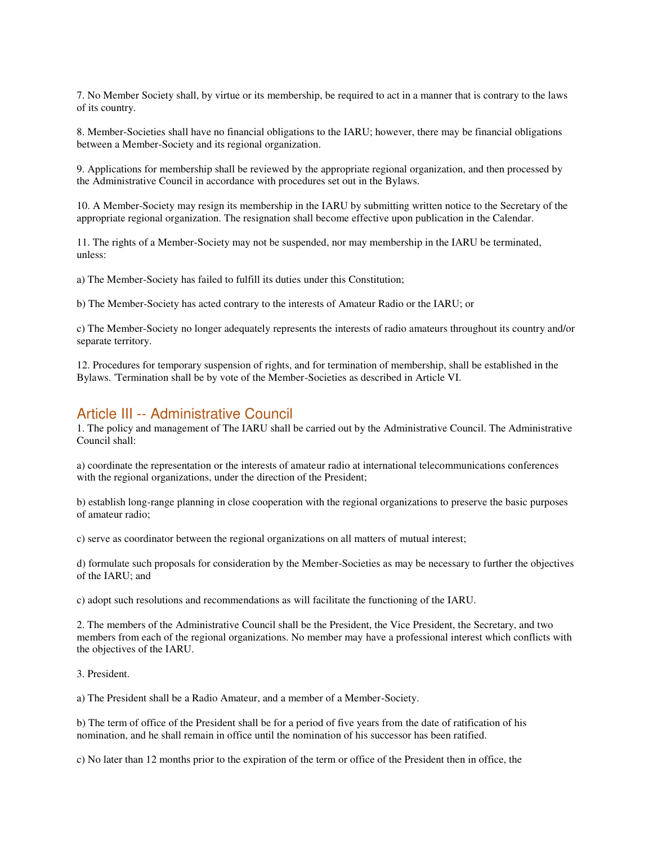7. No Member Society shall, by virtue or its membership, be required to act in a manner that is contrary to the laws of its country.

8. Member-Societies shall have no financial obligations to the IARU; however, there may be financial obligations between a Member-Society and its regional organization.

9. Applications for membership shall be reviewed by the appropriate regional organization, and then processed by the Administrative Council in accordance with procedures set out in the Bylaws.

10. A Member-Society may resign its membership in the IARU by submitting written notice to the Secretary of the appropriate regional organization. The resignation shall become effective upon publication in the Calendar.

11. The rights of a Member-Society may not be suspended, nor may membership in the IARU be terminated, unless:

a) The Member-Society has failed to fulfill its duties under this Constitution;

b) The Member-Society has acted contrary to the interests of Amateur Radio or the IARU; or

c) The Member-Society no longer adequately represents the interests of radio amateurs throughout its country and/or separate territory.

12. Procedures for temporary suspension of rights, and for termination of membership, shall be established in the Bylaws. 'Termination shall be by vote of the Member-Societies as described in Article VI.

### Article III -- Administrative Council

1. The policy and management of The IARU shall be carried out by the Administrative Council. The Administrative Council shall:

a) coordinate the representation or the interests of amateur radio at international telecommunications conferences with the regional organizations, under the direction of the President;

b) establish long-range planning in close cooperation with the regional organizations to preserve the basic purposes of amateur radio;

c) serve as coordinator between the regional organizations on all matters of mutual interest;

d) formulate such proposals for consideration by the Member-Societies as may be necessary to further the objectives of the IARU; and

c) adopt such resolutions and recommendations as will facilitate the functioning of the IARU.

2. The members of the Administrative Council shall be the President, the Vice President, the Secretary, and two members from each of the regional organizations. No member may have a professional interest which conflicts with the objectives of the IARU.

3. President.

a) The President shall be a Radio Amateur, and a member of a Member-Society.

b) The term of office of the President shall be for a period of five years from the date of ratification of his nomination, and he shall remain in office until the nomination of his successor has been ratified.

c) No later than 12 months prior to the expiration of the term or office of the President then in office, the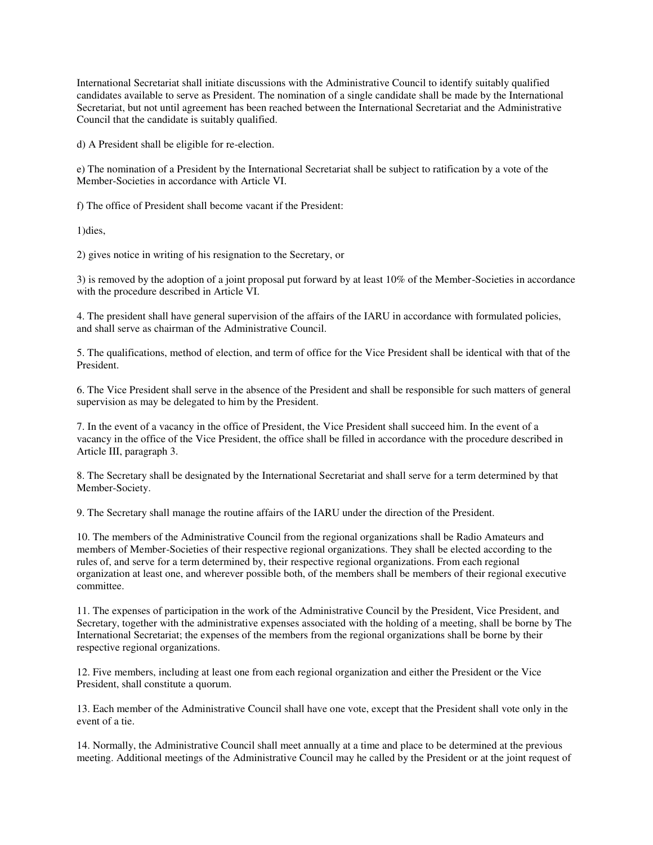International Secretariat shall initiate discussions with the Administrative Council to identify suitably qualified candidates available to serve as President. The nomination of a single candidate shall be made by the International Secretariat, but not until agreement has been reached between the International Secretariat and the Administrative Council that the candidate is suitably qualified.

d) A President shall be eligible for re-election.

e) The nomination of a President by the International Secretariat shall be subject to ratification by a vote of the Member-Societies in accordance with Article VI.

f) The office of President shall become vacant if the President:

1)dies,

2) gives notice in writing of his resignation to the Secretary, or

3) is removed by the adoption of a joint proposal put forward by at least 10% of the Member-Societies in accordance with the procedure described in Article VI.

4. The president shall have general supervision of the affairs of the IARU in accordance with formulated policies, and shall serve as chairman of the Administrative Council.

5. The qualifications, method of election, and term of office for the Vice President shall be identical with that of the President.

6. The Vice President shall serve in the absence of the President and shall be responsible for such matters of general supervision as may be delegated to him by the President.

7. In the event of a vacancy in the office of President, the Vice President shall succeed him. In the event of a vacancy in the office of the Vice President, the office shall be filled in accordance with the procedure described in Article III, paragraph 3.

8. The Secretary shall be designated by the International Secretariat and shall serve for a term determined by that Member-Society.

9. The Secretary shall manage the routine affairs of the IARU under the direction of the President.

10. The members of the Administrative Council from the regional organizations shall be Radio Amateurs and members of Member-Societies of their respective regional organizations. They shall be elected according to the rules of, and serve for a term determined by, their respective regional organizations. From each regional organization at least one, and wherever possible both, of the members shall be members of their regional executive committee.

11. The expenses of participation in the work of the Administrative Council by the President, Vice President, and Secretary, together with the administrative expenses associated with the holding of a meeting, shall be borne by The International Secretariat; the expenses of the members from the regional organizations shall be borne by their respective regional organizations.

12. Five members, including at least one from each regional organization and either the President or the Vice President, shall constitute a quorum.

13. Each member of the Administrative Council shall have one vote, except that the President shall vote only in the event of a tie.

14. Normally, the Administrative Council shall meet annually at a time and place to be determined at the previous meeting. Additional meetings of the Administrative Council may he called by the President or at the joint request of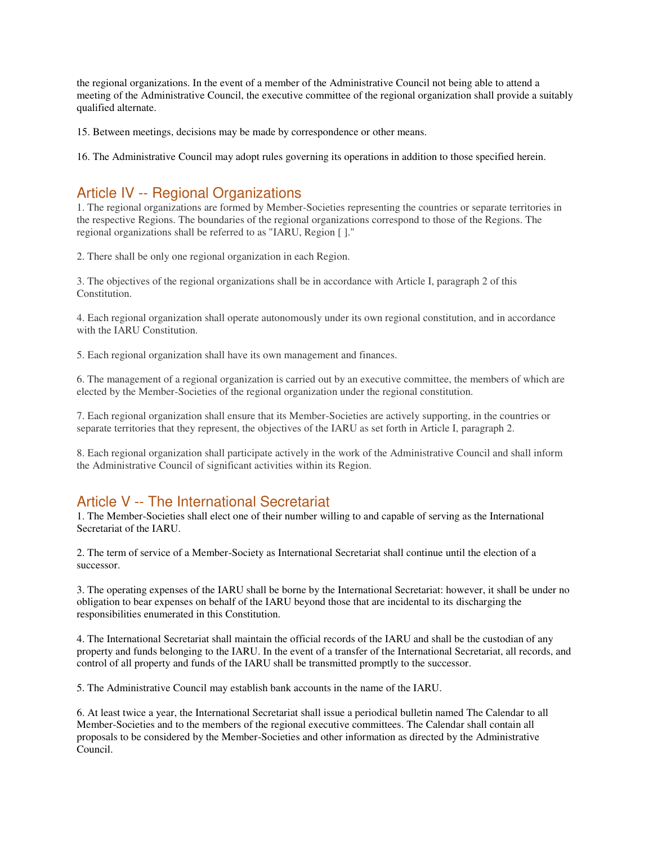the regional organizations. In the event of a member of the Administrative Council not being able to attend a meeting of the Administrative Council, the executive committee of the regional organization shall provide a suitably qualified alternate.

15. Between meetings, decisions may be made by correspondence or other means.

16. The Administrative Council may adopt rules governing its operations in addition to those specified herein.

# Article IV -- Regional Organizations

1. The regional organizations are formed by Member-Societies representing the countries or separate territories in the respective Regions. The boundaries of the regional organizations correspond to those of the Regions. The regional organizations shall be referred to as "IARU, Region [ ]."

2. There shall be only one regional organization in each Region.

3. The objectives of the regional organizations shall be in accordance with Article I, paragraph 2 of this Constitution.

4. Each regional organization shall operate autonomously under its own regional constitution, and in accordance with the IARU Constitution.

5. Each regional organization shall have its own management and finances.

6. The management of a regional organization is carried out by an executive committee, the members of which are elected by the Member-Societies of the regional organization under the regional constitution.

7. Each regional organization shall ensure that its Member-Societies are actively supporting, in the countries or separate territories that they represent, the objectives of the IARU as set forth in Article I, paragraph 2.

8. Each regional organization shall participate actively in the work of the Administrative Council and shall inform the Administrative Council of significant activities within its Region.

## Article V -- The International Secretariat

1. The Member-Societies shall elect one of their number willing to and capable of serving as the International Secretariat of the IARU.

2. The term of service of a Member-Society as International Secretariat shall continue until the election of a successor.

3. The operating expenses of the IARU shall be borne by the International Secretariat: however, it shall be under no obligation to bear expenses on behalf of the IARU beyond those that are incidental to its discharging the responsibilities enumerated in this Constitution.

4. The International Secretariat shall maintain the official records of the IARU and shall be the custodian of any property and funds belonging to the IARU. In the event of a transfer of the International Secretariat, all records, and control of all property and funds of the IARU shall be transmitted promptly to the successor.

5. The Administrative Council may establish bank accounts in the name of the IARU.

6. At least twice a year, the International Secretariat shall issue a periodical bulletin named The Calendar to all Member-Societies and to the members of the regional executive committees. The Calendar shall contain all proposals to be considered by the Member-Societies and other information as directed by the Administrative Council.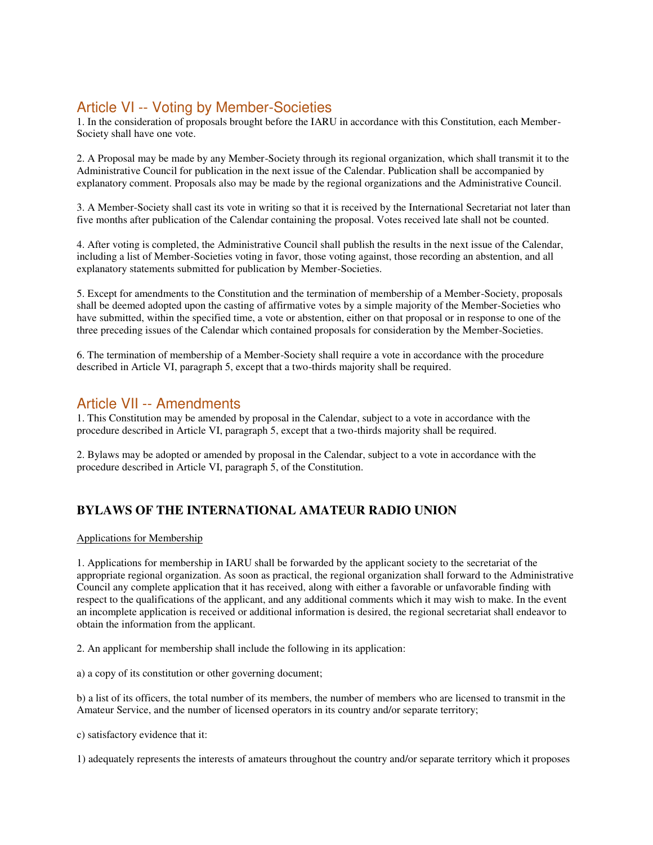# Article VI -- Voting by Member-Societies

1. In the consideration of proposals brought before the IARU in accordance with this Constitution, each Member-Society shall have one vote.

2. A Proposal may be made by any Member-Society through its regional organization, which shall transmit it to the Administrative Council for publication in the next issue of the Calendar. Publication shall be accompanied by explanatory comment. Proposals also may be made by the regional organizations and the Administrative Council.

3. A Member-Society shall cast its vote in writing so that it is received by the International Secretariat not later than five months after publication of the Calendar containing the proposal. Votes received late shall not be counted.

4. After voting is completed, the Administrative Council shall publish the results in the next issue of the Calendar, including a list of Member-Societies voting in favor, those voting against, those recording an abstention, and all explanatory statements submitted for publication by Member-Societies.

5. Except for amendments to the Constitution and the termination of membership of a Member-Society, proposals shall be deemed adopted upon the casting of affirmative votes by a simple majority of the Member-Societies who have submitted, within the specified time, a vote or abstention, either on that proposal or in response to one of the three preceding issues of the Calendar which contained proposals for consideration by the Member-Societies.

6. The termination of membership of a Member-Society shall require a vote in accordance with the procedure described in Article VI, paragraph 5, except that a two-thirds majority shall be required.

## Article VII -- Amendments

1. This Constitution may be amended by proposal in the Calendar, subject to a vote in accordance with the procedure described in Article VI, paragraph 5, except that a two-thirds majority shall be required.

2. Bylaws may be adopted or amended by proposal in the Calendar, subject to a vote in accordance with the procedure described in Article VI, paragraph 5, of the Constitution.

## **BYLAWS OF THE INTERNATIONAL AMATEUR RADIO UNION**

### Applications for Membership

1. Applications for membership in IARU shall be forwarded by the applicant society to the secretariat of the appropriate regional organization. As soon as practical, the regional organization shall forward to the Administrative Council any complete application that it has received, along with either a favorable or unfavorable finding with respect to the qualifications of the applicant, and any additional comments which it may wish to make. In the event an incomplete application is received or additional information is desired, the regional secretariat shall endeavor to obtain the information from the applicant.

2. An applicant for membership shall include the following in its application:

a) a copy of its constitution or other governing document;

b) a list of its officers, the total number of its members, the number of members who are licensed to transmit in the Amateur Service, and the number of licensed operators in its country and/or separate territory;

c) satisfactory evidence that it:

1) adequately represents the interests of amateurs throughout the country and/or separate territory which it proposes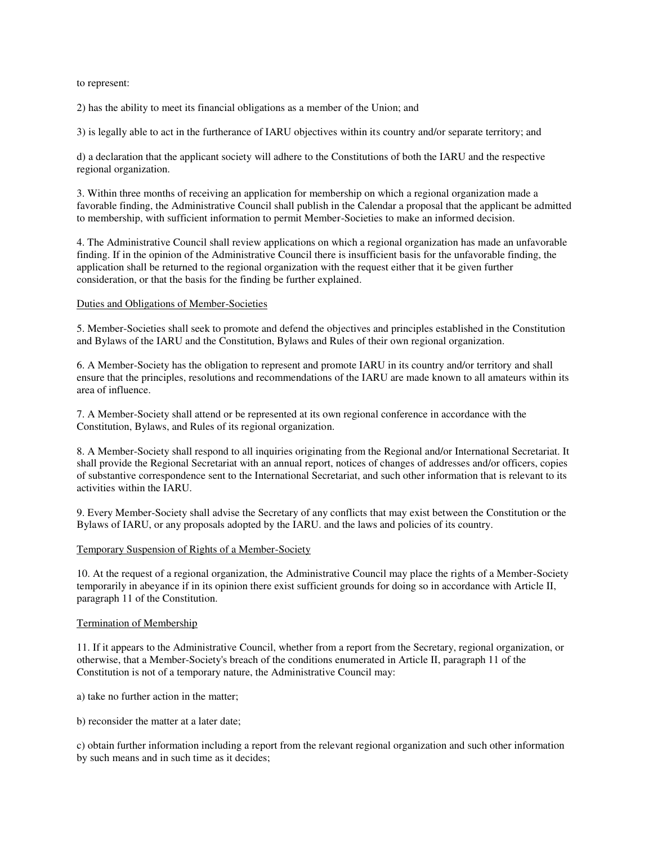to represent:

2) has the ability to meet its financial obligations as a member of the Union; and

3) is legally able to act in the furtherance of IARU objectives within its country and/or separate territory; and

d) a declaration that the applicant society will adhere to the Constitutions of both the IARU and the respective regional organization.

3. Within three months of receiving an application for membership on which a regional organization made a favorable finding, the Administrative Council shall publish in the Calendar a proposal that the applicant be admitted to membership, with sufficient information to permit Member-Societies to make an informed decision.

4. The Administrative Council shall review applications on which a regional organization has made an unfavorable finding. If in the opinion of the Administrative Council there is insufficient basis for the unfavorable finding, the application shall be returned to the regional organization with the request either that it be given further consideration, or that the basis for the finding be further explained.

#### Duties and Obligations of Member-Societies

5. Member-Societies shall seek to promote and defend the objectives and principles established in the Constitution and Bylaws of the IARU and the Constitution, Bylaws and Rules of their own regional organization.

6. A Member-Society has the obligation to represent and promote IARU in its country and/or territory and shall ensure that the principles, resolutions and recommendations of the IARU are made known to all amateurs within its area of influence.

7. A Member-Society shall attend or be represented at its own regional conference in accordance with the Constitution, Bylaws, and Rules of its regional organization.

8. A Member-Society shall respond to all inquiries originating from the Regional and/or International Secretariat. It shall provide the Regional Secretariat with an annual report, notices of changes of addresses and/or officers, copies of substantive correspondence sent to the International Secretariat, and such other information that is relevant to its activities within the IARU.

9. Every Member-Society shall advise the Secretary of any conflicts that may exist between the Constitution or the Bylaws of IARU, or any proposals adopted by the IARU. and the laws and policies of its country.

#### Temporary Suspension of Rights of a Member-Society

10. At the request of a regional organization, the Administrative Council may place the rights of a Member-Society temporarily in abeyance if in its opinion there exist sufficient grounds for doing so in accordance with Article II, paragraph 11 of the Constitution.

#### Termination of Membership

11. If it appears to the Administrative Council, whether from a report from the Secretary, regional organization, or otherwise, that a Member-Society's breach of the conditions enumerated in Article II, paragraph 11 of the Constitution is not of a temporary nature, the Administrative Council may:

a) take no further action in the matter;

b) reconsider the matter at a later date;

c) obtain further information including a report from the relevant regional organization and such other information by such means and in such time as it decides;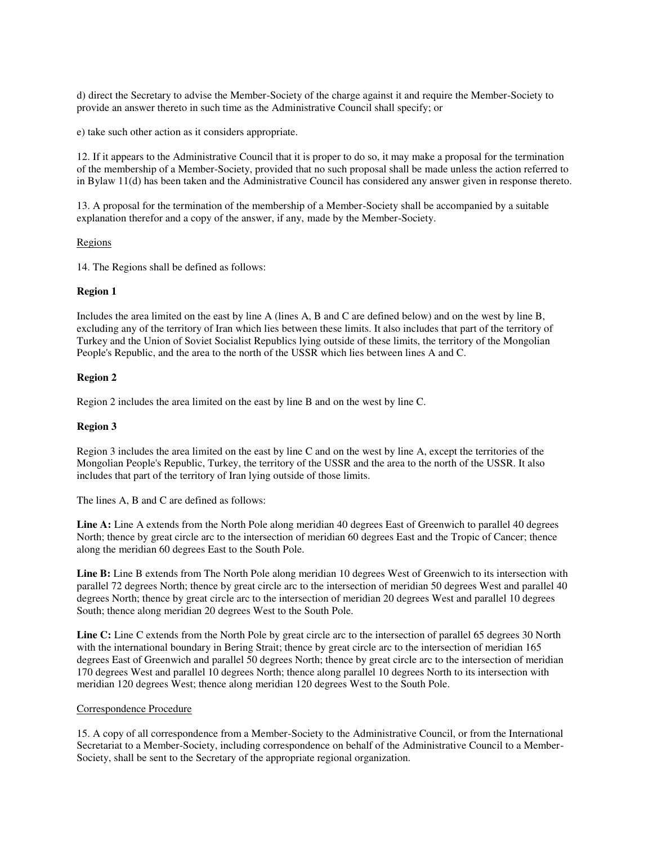d) direct the Secretary to advise the Member-Society of the charge against it and require the Member-Society to provide an answer thereto in such time as the Administrative Council shall specify; or

e) take such other action as it considers appropriate.

12. If it appears to the Administrative Council that it is proper to do so, it may make a proposal for the termination of the membership of a Member-Society, provided that no such proposal shall be made unless the action referred to in Bylaw 11(d) has been taken and the Administrative Council has considered any answer given in response thereto.

13. A proposal for the termination of the membership of a Member-Society shall be accompanied by a suitable explanation therefor and a copy of the answer, if any, made by the Member-Society.

#### Regions

14. The Regions shall be defined as follows:

#### **Region 1**

Includes the area limited on the east by line A (lines A, B and C are defined below) and on the west by line B, excluding any of the territory of Iran which lies between these limits. It also includes that part of the territory of Turkey and the Union of Soviet Socialist Republics lying outside of these limits, the territory of the Mongolian People's Republic, and the area to the north of the USSR which lies between lines A and C.

#### **Region 2**

Region 2 includes the area limited on the east by line B and on the west by line C.

#### **Region 3**

Region 3 includes the area limited on the east by line C and on the west by line A, except the territories of the Mongolian People's Republic, Turkey, the territory of the USSR and the area to the north of the USSR. It also includes that part of the territory of Iran lying outside of those limits.

The lines A, B and C are defined as follows:

**Line A:** Line A extends from the North Pole along meridian 40 degrees East of Greenwich to parallel 40 degrees North; thence by great circle arc to the intersection of meridian 60 degrees East and the Tropic of Cancer; thence along the meridian 60 degrees East to the South Pole.

**Line B:** Line B extends from The North Pole along meridian 10 degrees West of Greenwich to its intersection with parallel 72 degrees North; thence by great circle arc to the intersection of meridian 50 degrees West and parallel 40 degrees North; thence by great circle arc to the intersection of meridian 20 degrees West and parallel 10 degrees South; thence along meridian 20 degrees West to the South Pole.

**Line C:** Line C extends from the North Pole by great circle arc to the intersection of parallel 65 degrees 30 North with the international boundary in Bering Strait; thence by great circle arc to the intersection of meridian 165 degrees East of Greenwich and parallel 50 degrees North; thence by great circle arc to the intersection of meridian 170 degrees West and parallel 10 degrees North; thence along parallel 10 degrees North to its intersection with meridian 120 degrees West; thence along meridian 120 degrees West to the South Pole.

#### Correspondence Procedure

15. A copy of all correspondence from a Member-Society to the Administrative Council, or from the International Secretariat to a Member-Society, including correspondence on behalf of the Administrative Council to a Member-Society, shall be sent to the Secretary of the appropriate regional organization.